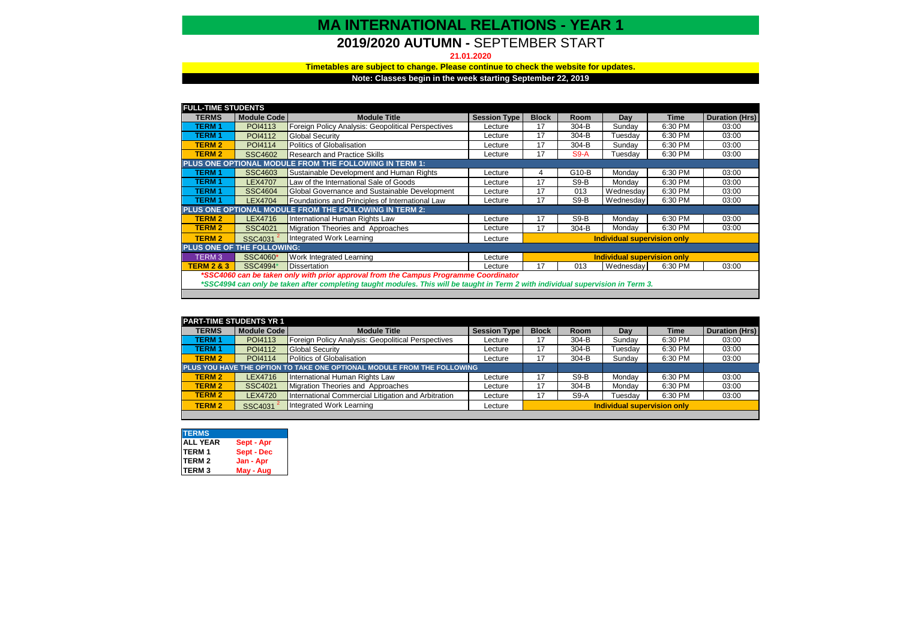## **MA INTERNATIONAL RELATIONS - YEAR 1**

## **2019/2020 AUTUMN -** SEPTEMBER START

#### **21.01.2020**

#### **Note: Classes begin in the week starting September 22, 2019 Timetables are subject to change. Please continue to check the website for updates.**

| <b>FULL-TIME STUDENTS</b>                                                                                                        |                    |                                                    |                     |                             |        |           |         |                |
|----------------------------------------------------------------------------------------------------------------------------------|--------------------|----------------------------------------------------|---------------------|-----------------------------|--------|-----------|---------|----------------|
| <b>TERMS</b>                                                                                                                     | <b>Module Code</b> | <b>Module Title</b>                                | <b>Session Type</b> | <b>Block</b>                | Room   | Dav       | Time    | Duration (Hrs) |
| <b>TERM1</b>                                                                                                                     | POI4113            | Foreign Policy Analysis: Geopolitical Perspectives | Lecture             | 17                          | 304-B  | Sunday    | 6:30 PM | 03:00          |
| <b>TERM1</b>                                                                                                                     | POI4112            | <b>Global Security</b>                             | Lecture             | 17                          | 304-B  | Tuesdav   | 6:30 PM | 03:00          |
| <b>TERM 2</b>                                                                                                                    | POI4114            | Politics of Globalisation                          | Lecture             | 17                          | 304-B  | Sunday    | 6:30 PM | 03:00          |
| <b>TERM 2</b>                                                                                                                    | <b>SSC4602</b>     | <b>Research and Practice Skills</b>                | Lecture             | 17                          | $S9-A$ | Tuesday   | 6:30 PM | 03:00          |
| PLUS ONE OPTIONAL MODULE FROM THE FOLLOWING IN TERM 1:                                                                           |                    |                                                    |                     |                             |        |           |         |                |
| <b>TERM1</b>                                                                                                                     | <b>SSC4603</b>     | Sustainable Development and Human Rights           | Lecture             | 4                           | G10-B  | Mondav    | 6:30 PM | 03:00          |
| <b>TERM1</b>                                                                                                                     | <b>LEX4707</b>     | Law of the International Sale of Goods             | Lecture             | 17                          | $S9-B$ | Mondav    | 6:30 PM | 03:00          |
| <b>TERM1</b>                                                                                                                     | <b>SSC4604</b>     | Global Governance and Sustainable Development      | Lecture             | 17                          | 013    | Wednesdav | 6:30 PM | 03:00          |
| <b>TERM1</b>                                                                                                                     | <b>LEX4704</b>     | Foundations and Principles of International Law    | Lecture             | 17                          | $S9-B$ | Wednesday | 6:30 PM | 03:00          |
| <b>PLUS ONE OPTIONAL MODULE FROM THE FOLLOWING IN TERM 2:</b>                                                                    |                    |                                                    |                     |                             |        |           |         |                |
| <b>TERM 2</b>                                                                                                                    | LEX4716            | International Human Rights Law                     | Lecture             | 17                          | $S9-B$ | Monday    | 6:30 PM | 03:00          |
| <b>TERM 2</b>                                                                                                                    | <b>SSC4021</b>     | Migration Theories and Approaches                  | Lecture             | 17                          | 304-B  | Monday    | 6:30 PM | 03:00          |
| <b>TERM 2</b>                                                                                                                    | SSC4031            | Integrated Work Learning                           | Lecture             | Individual supervision only |        |           |         |                |
| PLUS ONE OF THE FOLLOWING:                                                                                                       |                    |                                                    |                     |                             |        |           |         |                |
| TERM <sub>3</sub>                                                                                                                | SSC4060*           | Work Integrated Learning                           | Lecture             | Individual supervision only |        |           |         |                |
| <b>TERM 2 &amp; 3</b>                                                                                                            | SSC4994*           | <b>Dissertation</b>                                | Lecture             | 17                          | 013    | Wednesdav | 6:30 PM | 03:00          |
| *SSC4060 can be taken only with prior approval from the Campus Programme Coordinator                                             |                    |                                                    |                     |                             |        |           |         |                |
| *SSC4994 can only be taken after completing taught modules. This will be taught in Term 2 with individual supervision in Term 3. |                    |                                                    |                     |                             |        |           |         |                |

| <b>PART-TIME STUDENTS YR 1</b>                                          |                |                                                     |                     |                             |         |         |             |                       |
|-------------------------------------------------------------------------|----------------|-----------------------------------------------------|---------------------|-----------------------------|---------|---------|-------------|-----------------------|
| <b>TERMS</b>                                                            | Module Code    | <b>Module Title</b>                                 | <b>Session Type</b> | <b>Block</b>                | Room    | Day     | <b>Time</b> | <b>Duration (Hrs)</b> |
| <b>TERM1</b>                                                            | POI4113        | Foreign Policy Analysis: Geopolitical Perspectives  | Lecture             |                             | 304-B   | Sundav  | 6:30 PM     | 03:00                 |
| <b>TERM1</b>                                                            | POI4112        | <b>Global Security</b>                              | Lecture             |                             | 304-B   | Tuesdav | 6:30 PM     | 03:00                 |
| <b>TERM 2</b>                                                           | POI4114        | Politics of Globalisation                           | Lecture             | 17                          | $304-B$ | Sundav  | 6:30 PM     | 03:00                 |
| PLUS YOU HAVE THE OPTION TO TAKE ONE OPTIONAL MODULE FROM THE FOLLOWING |                |                                                     |                     |                             |         |         |             |                       |
| <b>TERM 2</b>                                                           | LEX4716        | International Human Rights Law                      | Lecture             | 17                          | $S9-B$  | Monday  | 6:30 PM     | 03:00                 |
| <b>TERM 2</b>                                                           | <b>SSC4021</b> | Migration Theories and Approaches                   | Lecture             | 17                          | $304-B$ | Monday  | 6:30 PM     | 03:00                 |
| <b>TERM 2</b>                                                           | <b>LEX4720</b> | International Commercial Litigation and Arbitration | Lecture             | 17                          | $S9-A$  | Tuesdav | 6:30 PM     | 03:00                 |
| <b>TERM 2</b>                                                           | <b>SSC4031</b> | Integrated Work Learning                            | Lecture             | Individual supervision only |         |         |             |                       |

| <b>TERMS</b>    |            |
|-----------------|------------|
| <b>ALL YEAR</b> | Sept - Apr |
| <b>TERM1</b>    | Sept - Dec |
| <b>TERM 2</b>   | Jan - Apr  |
| <b>ITERM3</b>   | May - Aug  |